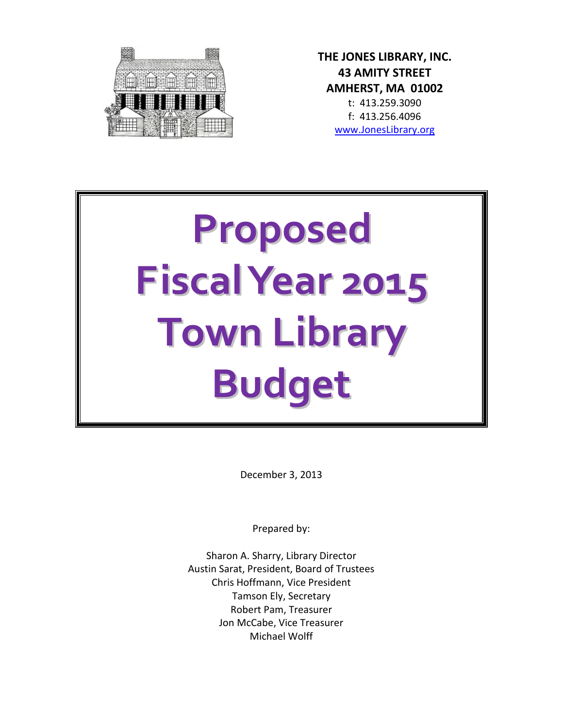

**THE JONES LIBRARY, INC. 43 AMITY STREET AMHERST, MA 01002** t: 413.259.3090 f: 413.256.4096 [www.JonesLibrary.org](http://www.joneslibrary.org/)

# Proposed Fiscal Year 2015 **Town Library Budget**

December 3, 2013

Prepared by:

Sharon A. Sharry, Library Director Austin Sarat, President, Board of Trustees Chris Hoffmann, Vice President Tamson Ely, Secretary Robert Pam, Treasurer Jon McCabe, Vice Treasurer Michael Wolff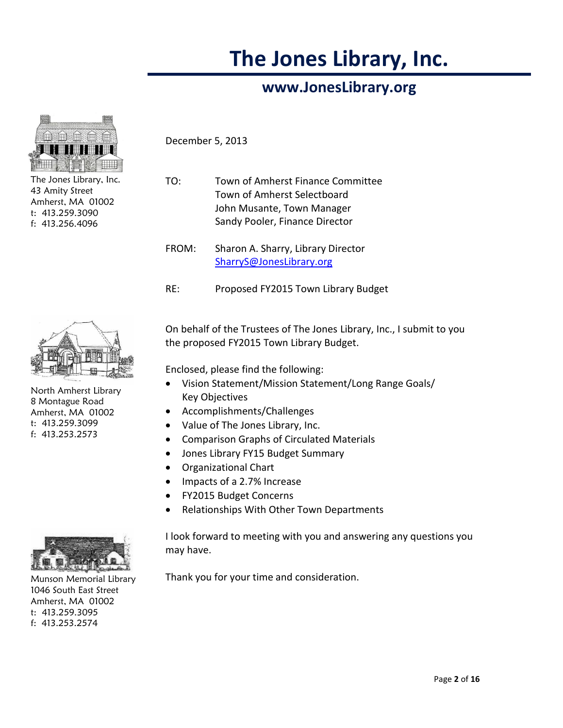## **The Jones Library, Inc.**

## **www.JonesLibrary.org**



The Jones Library, Inc. 43 Amity Street Amherst, MA 01002 t: 413.259.3090 f: 413.256.4096

December 5, 2013

- TO: Town of Amherst Finance Committee Town of Amherst Selectboard John Musante, Town Manager Sandy Pooler, Finance Director
- FROM: Sharon A. Sharry, Library Director [SharryS@JonesLibrary.org](mailto:SharryS@JonesLibrary.org)
- RE: Proposed FY2015 Town Library Budget



North Amherst Library 8 Montague Road Amherst, MA 01002 t: 413.259.3099 f: 413.253.2573

On behalf of the Trustees of The Jones Library, Inc., I submit to you the proposed FY2015 Town Library Budget.

Enclosed, please find the following:

- Vision Statement/Mission Statement/Long Range Goals/ Key Objectives
- Accomplishments/Challenges
- Value of The Jones Library, Inc.
- Comparison Graphs of Circulated Materials
- Jones Library FY15 Budget Summary
- Organizational Chart
- Impacts of a 2.7% Increase
- FY2015 Budget Concerns
- Relationships With Other Town Departments

I look forward to meeting with you and answering any questions you may have.

Thank you for your time and consideration.



Munson Memorial Library 1046 South East Street Amherst, MA 01002 t: 413.259.3095 f: 413.253.2574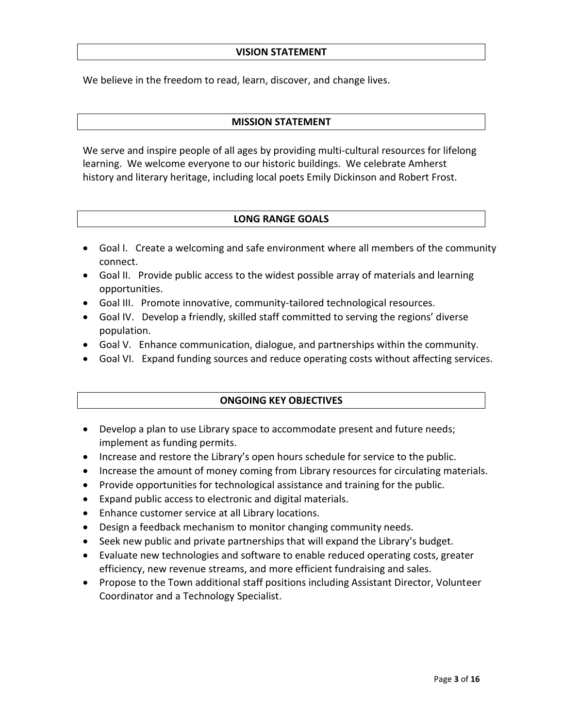## **VISION STATEMENT**

We believe in the freedom to read, learn, discover, and change lives.

## **MISSION STATEMENT**

We serve and inspire people of all ages by providing multi-cultural resources for lifelong learning. We welcome everyone to our historic buildings. We celebrate Amherst history and literary heritage, including local poets Emily Dickinson and Robert Frost.

## **LONG RANGE GOALS**

- Goal I. Create a welcoming and safe environment where all members of the community connect.
- Goal II. Provide public access to the widest possible array of materials and learning opportunities.
- Goal III. Promote innovative, community-tailored technological resources.
- Goal IV. Develop a friendly, skilled staff committed to serving the regions' diverse population.
- Goal V. Enhance communication, dialogue, and partnerships within the community.
- Goal VI. Expand funding sources and reduce operating costs without affecting services.

## **ONGOING KEY OBJECTIVES**

- Develop a plan to use Library space to accommodate present and future needs; implement as funding permits.
- Increase and restore the Library's open hours schedule for service to the public.
- Increase the amount of money coming from Library resources for circulating materials.
- Provide opportunities for technological assistance and training for the public.
- Expand public access to electronic and digital materials.
- Enhance customer service at all Library locations.
- Design a feedback mechanism to monitor changing community needs.
- Seek new public and private partnerships that will expand the Library's budget.
- Evaluate new technologies and software to enable reduced operating costs, greater efficiency, new revenue streams, and more efficient fundraising and sales.
- Propose to the Town additional staff positions including Assistant Director, Volunteer Coordinator and a Technology Specialist.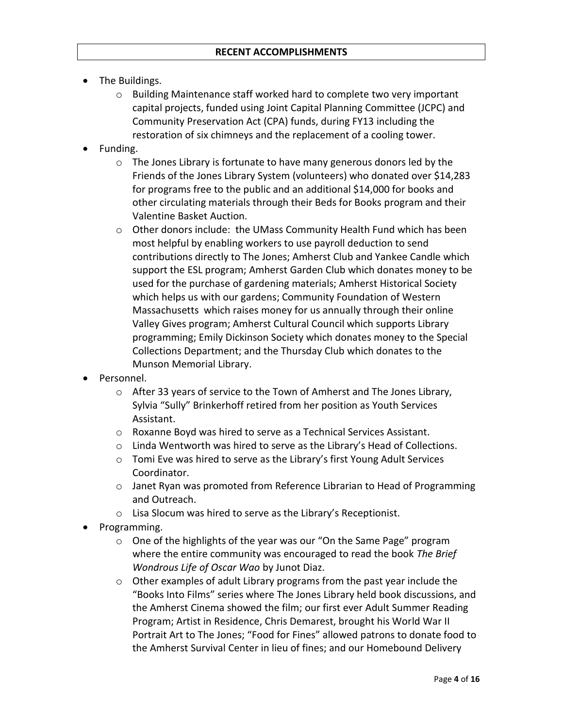- The Buildings.
	- $\circ$  Building Maintenance staff worked hard to complete two very important capital projects, funded using Joint Capital Planning Committee (JCPC) and Community Preservation Act (CPA) funds, during FY13 including the restoration of six chimneys and the replacement of a cooling tower.
- Funding.
	- $\circ$  The Jones Library is fortunate to have many generous donors led by the Friends of the Jones Library System (volunteers) who donated over \$14,283 for programs free to the public and an additional \$14,000 for books and other circulating materials through their Beds for Books program and their Valentine Basket Auction.
	- $\circ$  Other donors include: the UMass Community Health Fund which has been most helpful by enabling workers to use payroll deduction to send contributions directly to The Jones; Amherst Club and Yankee Candle which support the ESL program; Amherst Garden Club which donates money to be used for the purchase of gardening materials; Amherst Historical Society which helps us with our gardens; Community Foundation of Western Massachusetts which raises money for us annually through their online Valley Gives program; Amherst Cultural Council which supports Library programming; Emily Dickinson Society which donates money to the Special Collections Department; and the Thursday Club which donates to the Munson Memorial Library.
- Personnel.
	- o After 33 years of service to the Town of Amherst and The Jones Library, Sylvia "Sully" Brinkerhoff retired from her position as Youth Services Assistant.
	- o Roxanne Boyd was hired to serve as a Technical Services Assistant.
	- $\circ$  Linda Wentworth was hired to serve as the Library's Head of Collections.
	- o Tomi Eve was hired to serve as the Library's first Young Adult Services Coordinator.
	- $\circ$  Janet Ryan was promoted from Reference Librarian to Head of Programming and Outreach.
	- o Lisa Slocum was hired to serve as the Library's Receptionist.
- Programming.
	- o One of the highlights of the year was our "On the Same Page" program where the entire community was encouraged to read the book *The Brief Wondrous Life of Oscar Wao* by Junot Diaz.
	- o Other examples of adult Library programs from the past year include the "Books Into Films" series where The Jones Library held book discussions, and the Amherst Cinema showed the film; our first ever Adult Summer Reading Program; Artist in Residence, Chris Demarest, brought his World War II Portrait Art to The Jones; "Food for Fines" allowed patrons to donate food to the Amherst Survival Center in lieu of fines; and our Homebound Delivery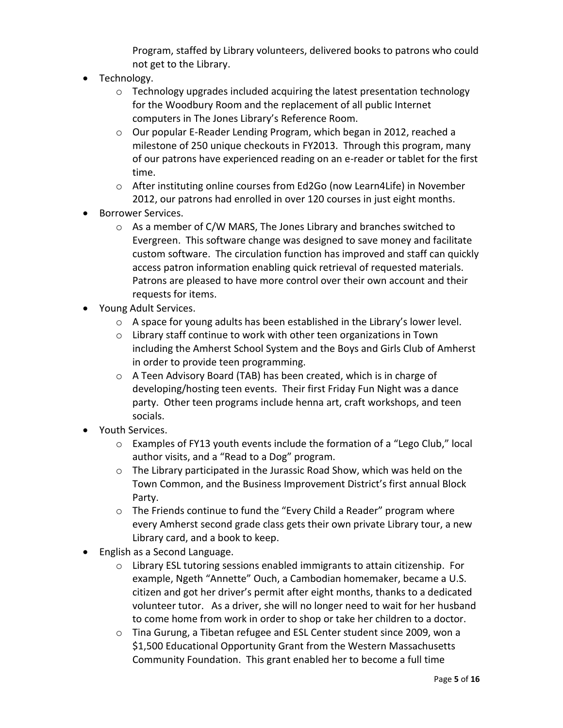Program, staffed by Library volunteers, delivered books to patrons who could not get to the Library.

- Technology.
	- $\circ$  Technology upgrades included acquiring the latest presentation technology for the Woodbury Room and the replacement of all public Internet computers in The Jones Library's Reference Room.
	- o Our popular E-Reader Lending Program, which began in 2012, reached a milestone of 250 unique checkouts in FY2013. Through this program, many of our patrons have experienced reading on an e-reader or tablet for the first time.
	- o After instituting online courses from Ed2Go (now Learn4Life) in November 2012, our patrons had enrolled in over 120 courses in just eight months.
- Borrower Services.
	- o As a member of C/W MARS, The Jones Library and branches switched to Evergreen. This software change was designed to save money and facilitate custom software. The circulation function has improved and staff can quickly access patron information enabling quick retrieval of requested materials. Patrons are pleased to have more control over their own account and their requests for items.
- Young Adult Services.
	- $\circ$  A space for young adults has been established in the Library's lower level.
	- o Library staff continue to work with other teen organizations in Town including the Amherst School System and the Boys and Girls Club of Amherst in order to provide teen programming.
	- o A Teen Advisory Board (TAB) has been created, which is in charge of developing/hosting teen events. Their first Friday Fun Night was a dance party. Other teen programs include henna art, craft workshops, and teen socials.
- Youth Services.
	- $\circ$  Examples of FY13 youth events include the formation of a "Lego Club," local author visits, and a "Read to a Dog" program.
	- o The Library participated in the Jurassic Road Show, which was held on the Town Common, and the Business Improvement District's first annual Block Party.
	- o The Friends continue to fund the "Every Child a Reader" program where every Amherst second grade class gets their own private Library tour, a new Library card, and a book to keep.
- English as a Second Language.
	- o Library ESL tutoring sessions enabled immigrants to attain citizenship. For example, Ngeth "Annette" Ouch, a Cambodian homemaker, became a U.S. citizen and got her driver's permit after eight months, thanks to a dedicated volunteer tutor. As a driver, she will no longer need to wait for her husband to come home from work in order to shop or take her children to a doctor.
	- o Tina Gurung, a Tibetan refugee and ESL Center student since 2009, won a \$1,500 Educational Opportunity Grant from the Western Massachusetts Community Foundation. This grant enabled her to become a full time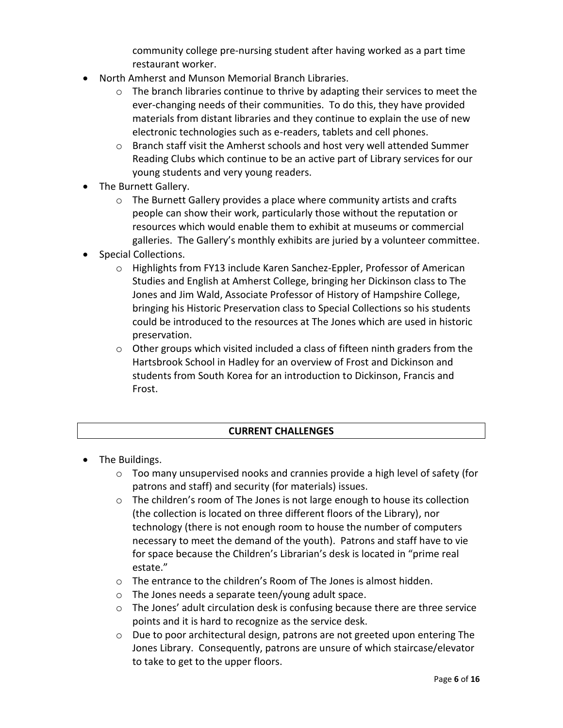community college pre-nursing student after having worked as a part time restaurant worker.

- North Amherst and Munson Memorial Branch Libraries.
	- $\circ$  The branch libraries continue to thrive by adapting their services to meet the ever-changing needs of their communities. To do this, they have provided materials from distant libraries and they continue to explain the use of new electronic technologies such as e-readers, tablets and cell phones.
	- o Branch staff visit the Amherst schools and host very well attended Summer Reading Clubs which continue to be an active part of Library services for our young students and very young readers.
- The Burnett Gallery.
	- o The Burnett Gallery provides a place where community artists and crafts people can show their work, particularly those without the reputation or resources which would enable them to exhibit at museums or commercial galleries. The Gallery's monthly exhibits are juried by a volunteer committee.
- Special Collections.
	- o Highlights from FY13 include Karen Sanchez-Eppler, Professor of American Studies and English at Amherst College, bringing her Dickinson class to The Jones and Jim Wald, Associate Professor of History of Hampshire College, bringing his Historic Preservation class to Special Collections so his students could be introduced to the resources at The Jones which are used in historic preservation.
	- o Other groups which visited included a class of fifteen ninth graders from the Hartsbrook School in Hadley for an overview of Frost and Dickinson and students from South Korea for an introduction to Dickinson, Francis and Frost.

## **CURRENT CHALLENGES**

- The Buildings.
	- $\circ$  Too many unsupervised nooks and crannies provide a high level of safety (for patrons and staff) and security (for materials) issues.
	- o The children's room of The Jones is not large enough to house its collection (the collection is located on three different floors of the Library), nor technology (there is not enough room to house the number of computers necessary to meet the demand of the youth). Patrons and staff have to vie for space because the Children's Librarian's desk is located in "prime real estate."
	- o The entrance to the children's Room of The Jones is almost hidden.
	- o The Jones needs a separate teen/young adult space.
	- $\circ$  The Jones' adult circulation desk is confusing because there are three service points and it is hard to recognize as the service desk.
	- $\circ$  Due to poor architectural design, patrons are not greeted upon entering The Jones Library. Consequently, patrons are unsure of which staircase/elevator to take to get to the upper floors.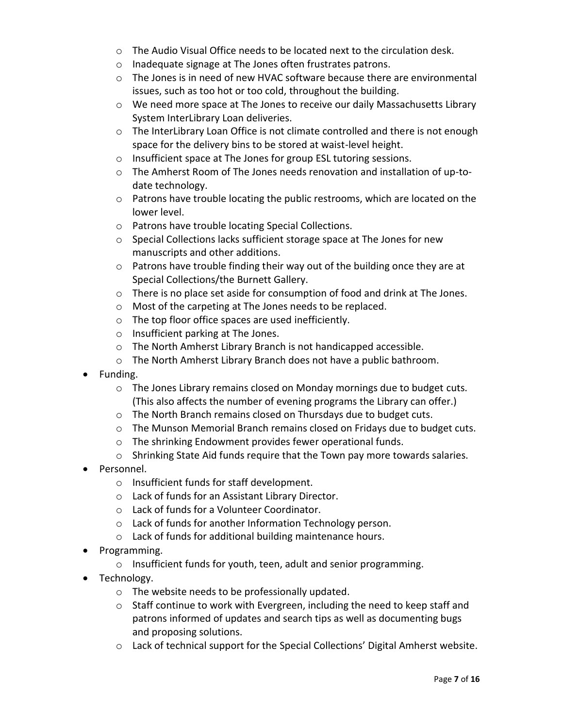- $\circ$  The Audio Visual Office needs to be located next to the circulation desk.
- o Inadequate signage at The Jones often frustrates patrons.
- $\circ$  The Jones is in need of new HVAC software because there are environmental issues, such as too hot or too cold, throughout the building.
- o We need more space at The Jones to receive our daily Massachusetts Library System InterLibrary Loan deliveries.
- o The InterLibrary Loan Office is not climate controlled and there is not enough space for the delivery bins to be stored at waist-level height.
- o Insufficient space at The Jones for group ESL tutoring sessions.
- o The Amherst Room of The Jones needs renovation and installation of up-todate technology.
- $\circ$  Patrons have trouble locating the public restrooms, which are located on the lower level.
- o Patrons have trouble locating Special Collections.
- o Special Collections lacks sufficient storage space at The Jones for new manuscripts and other additions.
- $\circ$  Patrons have trouble finding their way out of the building once they are at Special Collections/the Burnett Gallery.
- o There is no place set aside for consumption of food and drink at The Jones.
- o Most of the carpeting at The Jones needs to be replaced.
- o The top floor office spaces are used inefficiently.
- o Insufficient parking at The Jones.
- o The North Amherst Library Branch is not handicapped accessible.
- o The North Amherst Library Branch does not have a public bathroom.
- Funding.
	- $\circ$  The Jones Library remains closed on Monday mornings due to budget cuts. (This also affects the number of evening programs the Library can offer.)
	- o The North Branch remains closed on Thursdays due to budget cuts.
	- o The Munson Memorial Branch remains closed on Fridays due to budget cuts.
	- o The shrinking Endowment provides fewer operational funds.
	- o Shrinking State Aid funds require that the Town pay more towards salaries.
- Personnel.
	- o Insufficient funds for staff development.
	- o Lack of funds for an Assistant Library Director.
	- o Lack of funds for a Volunteer Coordinator.
	- o Lack of funds for another Information Technology person.
	- o Lack of funds for additional building maintenance hours.
- Programming.
	- o Insufficient funds for youth, teen, adult and senior programming.
- Technology.
	- o The website needs to be professionally updated.
	- $\circ$  Staff continue to work with Evergreen, including the need to keep staff and patrons informed of updates and search tips as well as documenting bugs and proposing solutions.
	- $\circ$  Lack of technical support for the Special Collections' Digital Amherst website.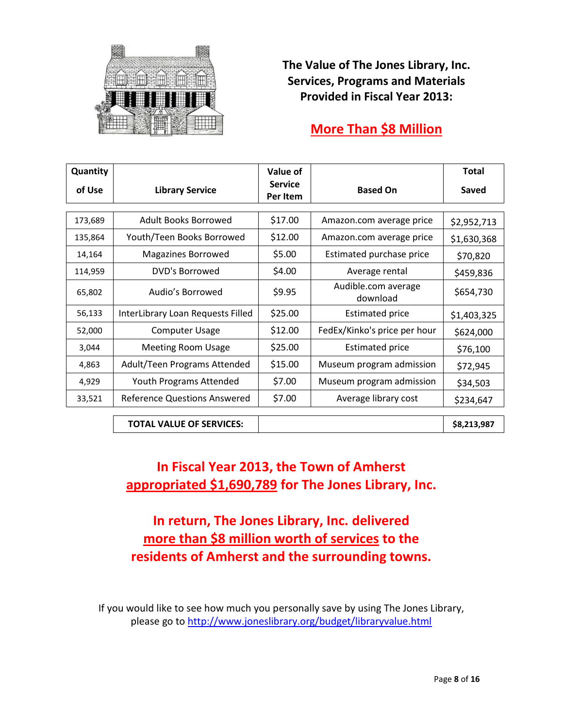

**The Value of The Jones Library, Inc. Services, Programs and Materials Provided in Fiscal Year 2013:**

## **More Than \$8 Million**

| Quantity |                                     | Value of                   |                                 | <b>Total</b> |
|----------|-------------------------------------|----------------------------|---------------------------------|--------------|
| of Use   | <b>Library Service</b>              | <b>Service</b><br>Per Item | <b>Based On</b>                 | Saved        |
|          |                                     |                            |                                 |              |
| 173,689  | Adult Books Borrowed                | \$17.00                    | Amazon.com average price        | \$2,952,713  |
| 135,864  | Youth/Teen Books Borrowed           | \$12.00                    | Amazon.com average price        | \$1,630,368  |
| 14,164   | <b>Magazines Borrowed</b>           | \$5.00                     | Estimated purchase price        | \$70,820     |
| 114,959  | DVD's Borrowed                      | \$4.00                     | Average rental                  | \$459,836    |
| 65,802   | Audio's Borrowed                    | \$9.95                     | Audible.com average<br>download | \$654,730    |
| 56,133   | InterLibrary Loan Requests Filled   | \$25.00                    | <b>Estimated price</b>          | \$1,403,325  |
| 52,000   | <b>Computer Usage</b>               | \$12.00                    | FedEx/Kinko's price per hour    | \$624,000    |
| 3,044    | <b>Meeting Room Usage</b>           | \$25.00                    | <b>Estimated price</b>          | \$76,100     |
| 4,863    | Adult/Teen Programs Attended        | \$15.00                    | Museum program admission        | \$72,945     |
| 4,929    | <b>Youth Programs Attended</b>      | \$7.00                     | Museum program admission        | \$34,503     |
| 33,521   | <b>Reference Questions Answered</b> | \$7.00                     | Average library cost            | \$234,647    |

**TOTAL VALUE OF SERVICES: \$8,213,987**

## **In Fiscal Year 2013, the Town of Amherst appropriated \$1,690,789 for The Jones Library, Inc.**

**In return, The Jones Library, Inc. delivered more than \$8 million worth of services to the residents of Amherst and the surrounding towns.**

If you would like to see how much you personally save by using The Jones Library, please go to<http://www.joneslibrary.org/budget/libraryvalue.html>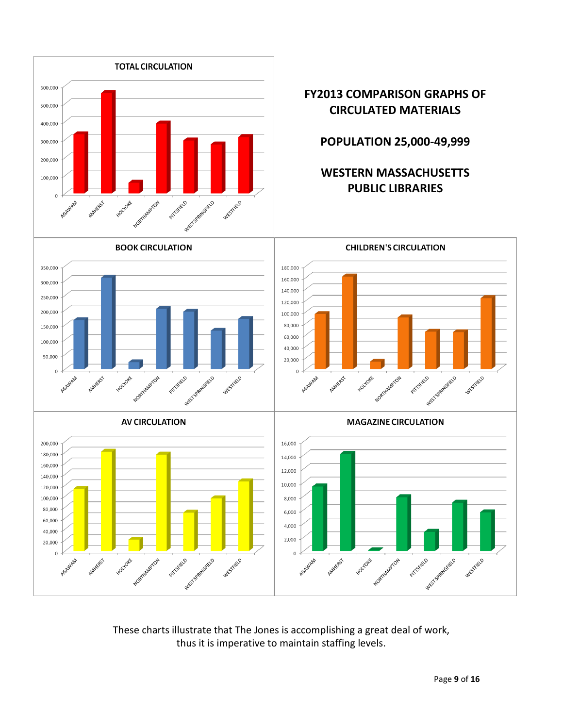

These charts illustrate that The Jones is accomplishing a great deal of work, thus it is imperative to maintain staffing levels.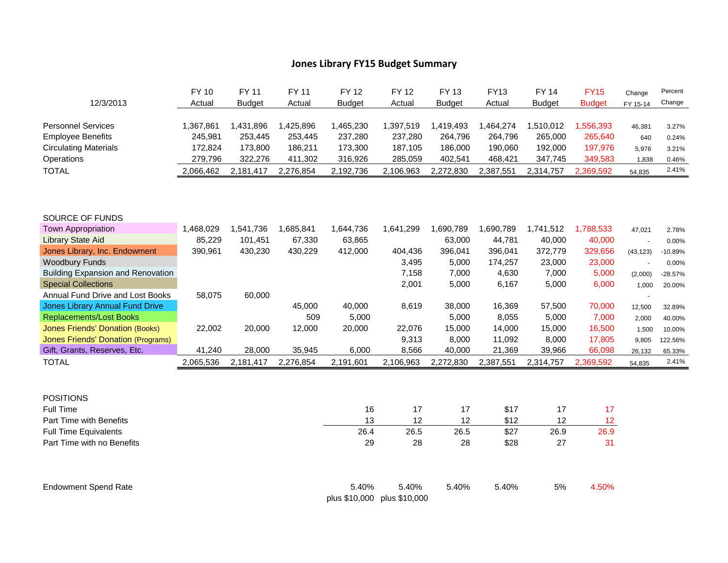## **Jones Library FY15 Budget Summary**

|                                                            | <b>FY 10</b> | FY 11         | <b>FY 11</b> | <b>FY 12</b>  | <b>FY 12</b>  | <b>FY 13</b>  | <b>FY13</b>  | <b>FY 14</b>  | <b>FY15</b>   | Change    | Percent   |
|------------------------------------------------------------|--------------|---------------|--------------|---------------|---------------|---------------|--------------|---------------|---------------|-----------|-----------|
| 12/3/2013                                                  | Actual       | <b>Budget</b> | Actual       | <b>Budget</b> | Actual        | <b>Budget</b> | Actual       | <b>Budget</b> | <b>Budget</b> | FY 15-14  | Change    |
| <b>Personnel Services</b>                                  | 1,367,861    | 1,431,896     | 1,425,896    | 1,465,230     | 1,397,519     | 1,419,493     | 1,464,274    | 1,510,012     | 1,556,393     | 46,381    | 3.27%     |
| <b>Employee Benefits</b>                                   | 245,981      | 253,445       | 253,445      | 237,280       | 237,280       | 264,796       | 264,796      | 265,000       | 265,640       | 640       | 0.24%     |
| <b>Circulating Materials</b>                               | 172,824      | 173,800       | 186,211      | 173,300       | 187,105       | 186,000       | 190,060      | 192,000       | 197,976       | 5,976     | 3.21%     |
| Operations                                                 | 279,796      | 322,276       | 411,302      | 316,926       | 285,059       | 402,541       | 468,421      | 347,745       | 349,583       | 1,838     | 0.46%     |
| <b>TOTAL</b>                                               | 2,066,462    | 2,181,417     | 2,276,854    | 2,192,736     | 2,106,963     | 2,272,830     | 2,387,551    | 2,314,757     | 2,369,592     | 54,835    | 2.41%     |
|                                                            |              |               |              |               |               |               |              |               |               |           |           |
| SOURCE OF FUNDS                                            |              |               |              |               |               |               |              |               |               |           |           |
| <b>Town Appropriation</b>                                  | 1,468,029    | 1,541,736     | 1,685,841    | 1,644,736     | 1,641,299     | 1,690,789     | 1,690,789    | 1,741,512     | 1,788,533     | 47,021    | 2.78%     |
| <b>Library State Aid</b>                                   | 85,229       | 101,451       | 67,330       | 63,865        |               | 63,000        | 44,781       | 40,000        | 40,000        | $\sim$    | 0.00%     |
| Jones Library, Inc. Endowment                              | 390,961      | 430,230       | 430,229      | 412,000       | 404,436       | 396,041       | 396,041      | 372,779       | 329,656       | (43, 123) | $-10.89%$ |
| <b>Woodbury Funds</b>                                      |              |               |              |               | 3,495         | 5,000         | 174,257      | 23,000        | 23,000        | $\sim$    | 0.00%     |
| <b>Building Expansion and Renovation</b>                   |              |               |              |               | 7,158         | 7,000         | 4,630        | 7,000         | 5,000         | (2,000)   | $-28.57%$ |
| <b>Special Collections</b>                                 |              |               |              |               | 2,001         | 5,000         | 6,167        | 5,000         | 6,000         | 1,000     | 20.00%    |
| Annual Fund Drive and Lost Books                           | 58,075       | 60,000        |              |               |               |               |              |               |               |           |           |
| <b>Jones Library Annual Fund Drive</b>                     |              |               | 45,000       | 40,000        | 8,619         | 38,000        | 16,369       | 57,500        | 70,000        | 12,500    | 32.89%    |
| <b>Replacements/Lost Books</b>                             |              |               | 509          | 5,000         |               | 5,000         | 8,055        | 5,000         | 7,000         | 2,000     | 40.00%    |
| <b>Jones Friends' Donation (Books)</b>                     | 22,002       | 20,000        | 12,000       | 20,000        | 22,076        | 15,000        | 14,000       | 15,000        | 16,500        | 1,500     | 10.00%    |
| <b>Jones Friends' Donation (Programs)</b>                  |              |               |              |               | 9,313         | 8,000         | 11,092       | 8,000         | 17,805        | 9,805     | 122.56%   |
| Gift, Grants, Reserves, Etc.                               | 41,240       | 28,000        | 35,945       | 6,000         | 8,566         | 40,000        | 21,369       | 39,966        | 66,098        | 26,132    | 65.33%    |
| <b>TOTAL</b>                                               | 2,065,536    | 2,181,417     | 2,276,854    | 2,191,601     | 2,106,963     | 2,272,830     | 2,387,551    | 2,314,757     | 2,369,592     | 54,835    | 2.41%     |
|                                                            |              |               |              |               |               |               |              |               |               |           |           |
| <b>POSITIONS</b>                                           |              |               |              |               |               |               |              |               |               |           |           |
| Full Time<br>Part Time with Benefits                       |              |               |              | 16<br>13      | 17<br>12      | 17<br>12      | \$17<br>\$12 | 17<br>12      | 17            |           |           |
|                                                            |              |               |              | 26.4          | 26.5          | 26.5          | \$27         | 26.9          | 12<br>26.9    |           |           |
| <b>Full Time Equivalents</b><br>Part Time with no Benefits |              |               |              | 29            | 28            | 28            | \$28         | 27            | 31            |           |           |
|                                                            |              |               |              |               |               |               |              |               |               |           |           |
| <b>Endowment Spend Rate</b>                                |              |               |              | 5.40%         | 5.40%         | 5.40%         | 5.40%        | 5%            | 4.50%         |           |           |
|                                                            |              |               |              | plus \$10,000 | plus \$10,000 |               |              |               |               |           |           |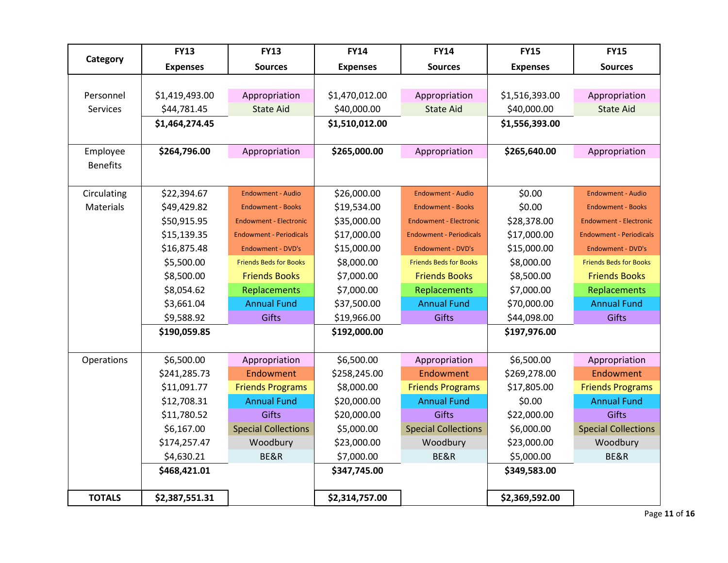|                 | <b>FY13</b>     | <b>FY13</b>                    | <b>FY14</b>     | <b>FY14</b>                    | <b>FY15</b>     | <b>FY15</b>                    |
|-----------------|-----------------|--------------------------------|-----------------|--------------------------------|-----------------|--------------------------------|
| Category        | <b>Expenses</b> | <b>Sources</b>                 | <b>Expenses</b> | <b>Sources</b>                 | <b>Expenses</b> | <b>Sources</b>                 |
|                 |                 |                                |                 |                                |                 |                                |
| Personnel       | \$1,419,493.00  | Appropriation                  | \$1,470,012.00  | Appropriation                  | \$1,516,393.00  | Appropriation                  |
| <b>Services</b> | \$44,781.45     | <b>State Aid</b>               | \$40,000.00     | <b>State Aid</b>               | \$40,000.00     | <b>State Aid</b>               |
|                 | \$1,464,274.45  |                                | \$1,510,012.00  |                                | \$1,556,393.00  |                                |
|                 |                 |                                |                 |                                |                 |                                |
| Employee        | \$264,796.00    | Appropriation                  | \$265,000.00    | Appropriation                  | \$265,640.00    | Appropriation                  |
| <b>Benefits</b> |                 |                                |                 |                                |                 |                                |
|                 |                 |                                |                 |                                |                 |                                |
| Circulating     | \$22,394.67     | <b>Endowment - Audio</b>       | \$26,000.00     | <b>Endowment - Audio</b>       | \$0.00          | <b>Endowment - Audio</b>       |
| Materials       | \$49,429.82     | <b>Endowment - Books</b>       | \$19,534.00     | <b>Endowment - Books</b>       | \$0.00          | <b>Endowment - Books</b>       |
|                 | \$50,915.95     | <b>Endowment - Electronic</b>  | \$35,000.00     | <b>Endowment - Electronic</b>  | \$28,378.00     | <b>Endowment - Electronic</b>  |
|                 | \$15,139.35     | <b>Endowment - Periodicals</b> | \$17,000.00     | <b>Endowment - Periodicals</b> | \$17,000.00     | <b>Endowment - Periodicals</b> |
|                 | \$16,875.48     | Endowment - DVD's              | \$15,000.00     | <b>Endowment - DVD's</b>       | \$15,000.00     | <b>Endowment - DVD's</b>       |
|                 | \$5,500.00      | <b>Friends Beds for Books</b>  | \$8,000.00      | <b>Friends Beds for Books</b>  | \$8,000.00      | <b>Friends Beds for Books</b>  |
|                 | \$8,500.00      | <b>Friends Books</b>           | \$7,000.00      | <b>Friends Books</b>           | \$8,500.00      | <b>Friends Books</b>           |
|                 | \$8,054.62      | Replacements                   | \$7,000.00      | Replacements                   | \$7,000.00      | Replacements                   |
|                 | \$3,661.04      | <b>Annual Fund</b>             | \$37,500.00     | <b>Annual Fund</b>             | \$70,000.00     | <b>Annual Fund</b>             |
|                 | \$9,588.92      | <b>Gifts</b>                   | \$19,966.00     | Gifts                          | \$44,098.00     | Gifts                          |
|                 | \$190,059.85    |                                | \$192,000.00    |                                | \$197,976.00    |                                |
|                 |                 |                                |                 |                                |                 |                                |
| Operations      | \$6,500.00      | Appropriation                  | \$6,500.00      | Appropriation                  | \$6,500.00      | Appropriation                  |
|                 | \$241,285.73    | Endowment                      | \$258,245.00    | Endowment                      | \$269,278.00    | Endowment                      |
|                 | \$11,091.77     | <b>Friends Programs</b>        | \$8,000.00      | <b>Friends Programs</b>        | \$17,805.00     | <b>Friends Programs</b>        |
|                 | \$12,708.31     | <b>Annual Fund</b>             | \$20,000.00     | <b>Annual Fund</b>             | \$0.00          | <b>Annual Fund</b>             |
|                 | \$11,780.52     | Gifts                          | \$20,000.00     | Gifts                          | \$22,000.00     | <b>Gifts</b>                   |
|                 | \$6,167.00      | <b>Special Collections</b>     | \$5,000.00      | <b>Special Collections</b>     | \$6,000.00      | <b>Special Collections</b>     |
|                 | \$174,257.47    | Woodbury                       | \$23,000.00     | Woodbury                       | \$23,000.00     | Woodbury                       |
|                 | \$4,630.21      | BE&R                           | \$7,000.00      | BE&R                           | \$5,000.00      | BE&R                           |
|                 | \$468,421.01    |                                | \$347,745.00    |                                | \$349,583.00    |                                |
|                 |                 |                                |                 |                                |                 |                                |
| <b>TOTALS</b>   | \$2,387,551.31  |                                | \$2,314,757.00  |                                | \$2,369,592.00  |                                |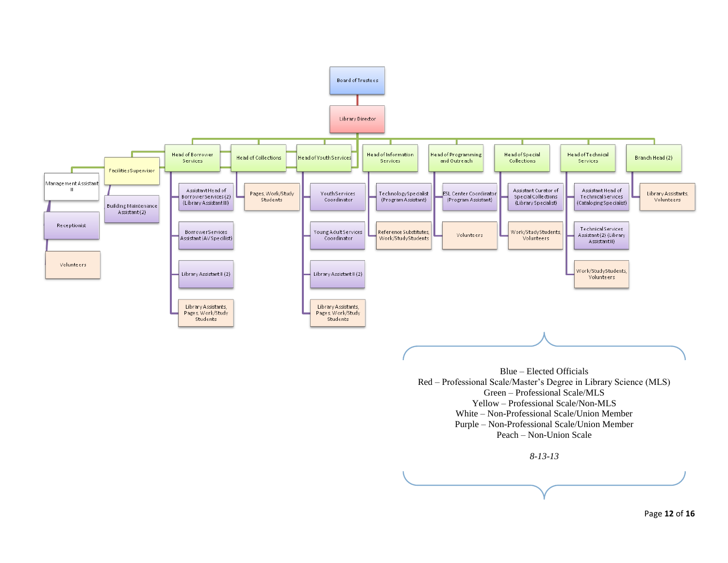

Page **12** of **16**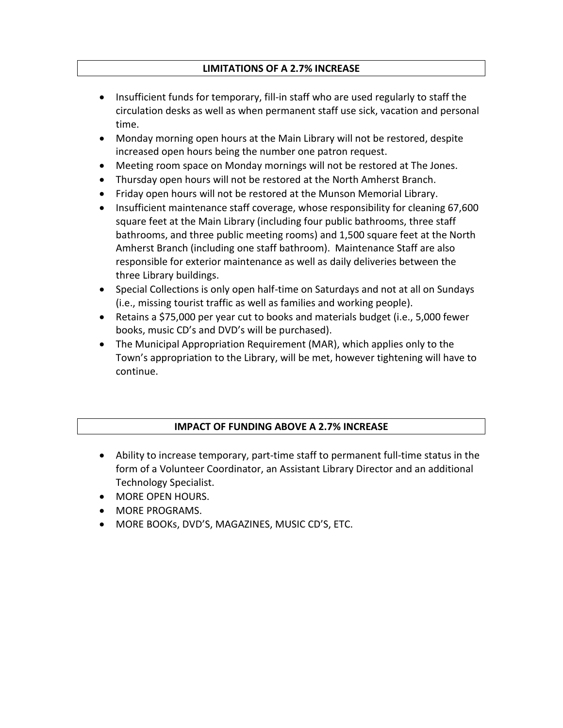## **LIMITATIONS OF A 2.7% INCREASE**

- Insufficient funds for temporary, fill-in staff who are used regularly to staff the circulation desks as well as when permanent staff use sick, vacation and personal time.
- Monday morning open hours at the Main Library will not be restored, despite increased open hours being the number one patron request.
- Meeting room space on Monday mornings will not be restored at The Jones.
- Thursday open hours will not be restored at the North Amherst Branch.
- Friday open hours will not be restored at the Munson Memorial Library.
- Insufficient maintenance staff coverage, whose responsibility for cleaning 67,600 square feet at the Main Library (including four public bathrooms, three staff bathrooms, and three public meeting rooms) and 1,500 square feet at the North Amherst Branch (including one staff bathroom). Maintenance Staff are also responsible for exterior maintenance as well as daily deliveries between the three Library buildings.
- Special Collections is only open half-time on Saturdays and not at all on Sundays (i.e., missing tourist traffic as well as families and working people).
- Retains a \$75,000 per year cut to books and materials budget (i.e., 5,000 fewer books, music CD's and DVD's will be purchased).
- The Municipal Appropriation Requirement (MAR), which applies only to the Town's appropriation to the Library, will be met, however tightening will have to continue.

## **IMPACT OF FUNDING ABOVE A 2.7% INCREASE**

- Ability to increase temporary, part-time staff to permanent full-time status in the form of a Volunteer Coordinator, an Assistant Library Director and an additional Technology Specialist.
- **MORE OPEN HOURS.**
- **MORE PROGRAMS.**
- MORE BOOKs, DVD'S, MAGAZINES, MUSIC CD'S, ETC.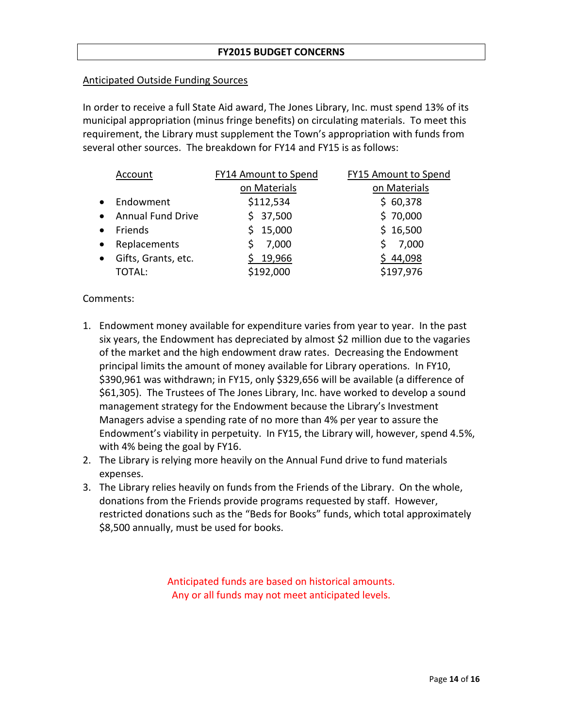## **FY2015 BUDGET CONCERNS**

## Anticipated Outside Funding Sources

In order to receive a full State Aid award, The Jones Library, Inc. must spend 13% of its municipal appropriation (minus fringe benefits) on circulating materials. To meet this requirement, the Library must supplement the Town's appropriation with funds from several other sources. The breakdown for FY14 and FY15 is as follows:

|           | Account                  | <b>FY14 Amount to Spend</b> | <b>FY15 Amount to Spend</b> |  |  |  |
|-----------|--------------------------|-----------------------------|-----------------------------|--|--|--|
|           |                          | on Materials                | on Materials                |  |  |  |
| $\bullet$ | Endowment                | \$112,534                   | \$60,378                    |  |  |  |
| $\bullet$ | <b>Annual Fund Drive</b> | \$37,500                    | \$70,000                    |  |  |  |
| $\bullet$ | Friends                  | 15,000                      | \$16,500                    |  |  |  |
| $\bullet$ | Replacements             | 7,000                       | 7,000                       |  |  |  |
| $\bullet$ | Gifts, Grants, etc.      | 19,966                      | \$44,098                    |  |  |  |
|           | <b>TOTAL:</b>            | \$192,000                   | \$197,976                   |  |  |  |

## Comments:

- 1. Endowment money available for expenditure varies from year to year. In the past six years, the Endowment has depreciated by almost \$2 million due to the vagaries of the market and the high endowment draw rates. Decreasing the Endowment principal limits the amount of money available for Library operations. In FY10, \$390,961 was withdrawn; in FY15, only \$329,656 will be available (a difference of \$61,305). The Trustees of The Jones Library, Inc. have worked to develop a sound management strategy for the Endowment because the Library's Investment Managers advise a spending rate of no more than 4% per year to assure the Endowment's viability in perpetuity. In FY15, the Library will, however, spend 4.5%, with 4% being the goal by FY16.
- 2. The Library is relying more heavily on the Annual Fund drive to fund materials expenses.
- 3. The Library relies heavily on funds from the Friends of the Library. On the whole, donations from the Friends provide programs requested by staff. However, restricted donations such as the "Beds for Books" funds, which total approximately \$8,500 annually, must be used for books.

Anticipated funds are based on historical amounts. Any or all funds may not meet anticipated levels.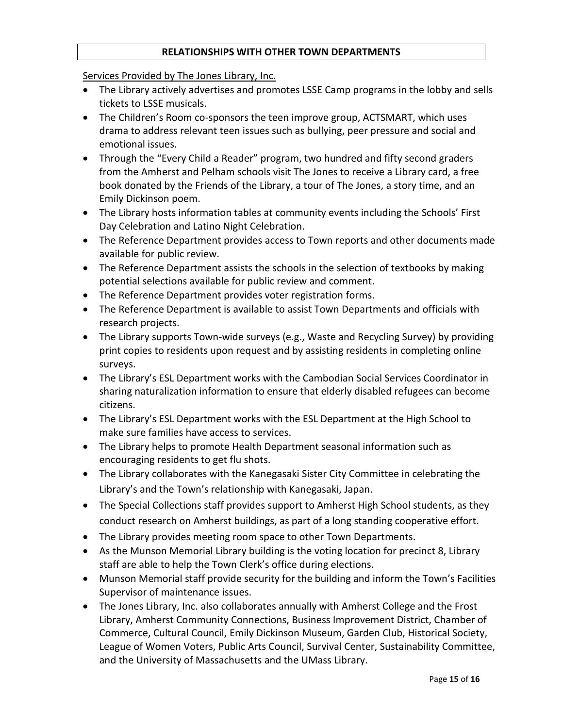## **RELATIONSHIPS WITH OTHER TOWN DEPARTMENTS**

Services Provided by The Jones Library, Inc.

- The Library actively advertises and promotes LSSE Camp programs in the lobby and sells tickets to LSSE musicals.
- The Children's Room co-sponsors the teen improve group, ACTSMART, which uses drama to address relevant teen issues such as bullying, peer pressure and social and emotional issues.
- Through the "Every Child a Reader" program, two hundred and fifty second graders from the Amherst and Pelham schools visit The Jones to receive a Library card, a free book donated by the Friends of the Library, a tour of The Jones, a story time, and an Emily Dickinson poem.
- The Library hosts information tables at community events including the Schools' First Day Celebration and Latino Night Celebration.
- The Reference Department provides access to Town reports and other documents made available for public review.
- The Reference Department assists the schools in the selection of textbooks by making potential selections available for public review and comment.
- The Reference Department provides voter registration forms.
- The Reference Department is available to assist Town Departments and officials with research projects.
- The Library supports Town-wide surveys (e.g., Waste and Recycling Survey) by providing print copies to residents upon request and by assisting residents in completing online surveys.
- The Library's ESL Department works with the Cambodian Social Services Coordinator in sharing naturalization information to ensure that elderly disabled refugees can become citizens.
- The Library's ESL Department works with the ESL Department at the High School to make sure families have access to services.
- The Library helps to promote Health Department seasonal information such as encouraging residents to get flu shots.
- The Library collaborates with the Kanegasaki Sister City Committee in celebrating the Library's and the Town's relationship with Kanegasaki, Japan.
- The Special Collections staff provides support to Amherst High School students, as they conduct research on Amherst buildings, as part of a long standing cooperative effort.
- The Library provides meeting room space to other Town Departments.
- As the Munson Memorial Library building is the voting location for precinct 8, Library staff are able to help the Town Clerk's office during elections.
- Munson Memorial staff provide security for the building and inform the Town's Facilities Supervisor of maintenance issues.
- The Jones Library, Inc. also collaborates annually with Amherst College and the Frost Library, Amherst Community Connections, Business Improvement District, Chamber of Commerce, Cultural Council, Emily Dickinson Museum, Garden Club, Historical Society, League of Women Voters, Public Arts Council, Survival Center, Sustainability Committee, and the University of Massachusetts and the UMass Library.